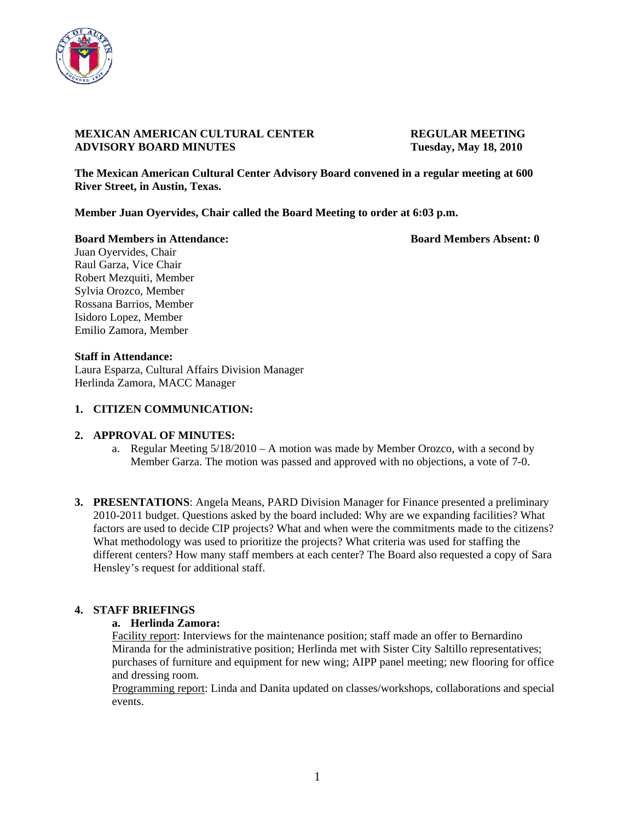

### **MEXICAN AMERICAN CULTURAL CENTER REGULAR MEETING ADVISORY BOARD MINUTES Tuesday, May 18, 2010**

**The Mexican American Cultural Center Advisory Board convened in a regular meeting at 600 River Street, in Austin, Texas.** 

**Member Juan Oyervides, Chair called the Board Meeting to order at 6:03 p.m.** 

**Board Members in Attendance: Board Members Absent: 0 Board Members Absent: 0** 

Juan Oyervides, Chair Raul Garza, Vice Chair Robert Mezquiti, Member Sylvia Orozco, Member Rossana Barrios, Member Isidoro Lopez, Member Emilio Zamora, Member

#### **Staff in Attendance:**

Laura Esparza, Cultural Affairs Division Manager Herlinda Zamora, MACC Manager

#### **1. CITIZEN COMMUNICATION:**

#### **2. APPROVAL OF MINUTES:**

- a. Regular Meeting 5/18/2010 A motion was made by Member Orozco, with a second by Member Garza. The motion was passed and approved with no objections, a vote of 7-0.
- **3. PRESENTATIONS**: Angela Means, PARD Division Manager for Finance presented a preliminary 2010-2011 budget. Questions asked by the board included: Why are we expanding facilities? What factors are used to decide CIP projects? What and when were the commitments made to the citizens? What methodology was used to prioritize the projects? What criteria was used for staffing the different centers? How many staff members at each center? The Board also requested a copy of Sara Hensley's request for additional staff.

### **4. STAFF BRIEFINGS**

### **a. Herlinda Zamora:**

Facility report: Interviews for the maintenance position; staff made an offer to Bernardino Miranda for the administrative position; Herlinda met with Sister City Saltillo representatives; purchases of furniture and equipment for new wing; AIPP panel meeting; new flooring for office and dressing room.

Programming report: Linda and Danita updated on classes/workshops, collaborations and special events.